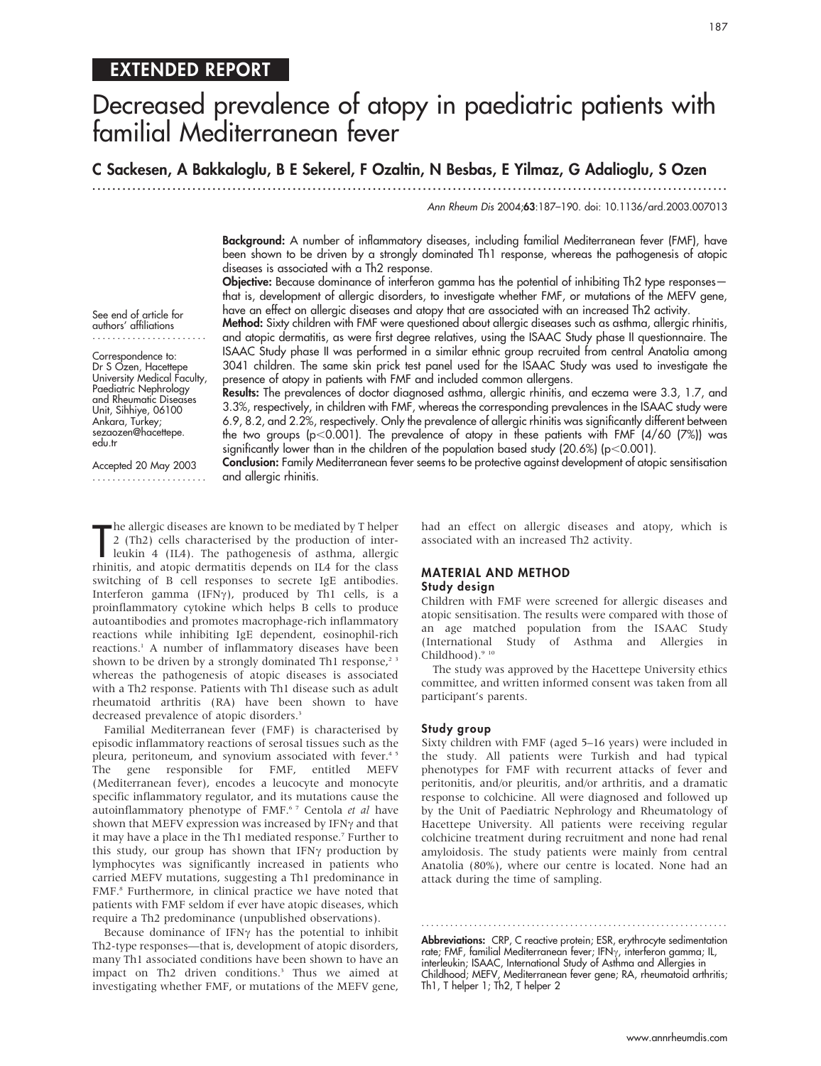# Decreased prevalence of atopy in paediatric patients with familial Mediterranean fever

C Sackesen, A Bakkaloglu, B E Sekerel, F Ozaltin, N Besbas, E Yilmaz, G Adalioglu, S Ozen

presence of atopy in patients with FMF and included common allergens.

.............................................................................................................................. .

Ann Rheum Dis 2004;63:187–190. doi: 10.1136/ard.2003.007013

Background: A number of inflammatory diseases, including familial Mediterranean fever (FMF), have been shown to be driven by a strongly dominated Th1 response, whereas the pathogenesis of atopic diseases is associated with a Th2 response.

Objective: Because dominance of interferon gamma has the potential of inhibiting Th2 type responses that is, development of allergic disorders, to investigate whether FMF, or mutations of the MEFV gene, have an effect on allergic diseases and atopy that are associated with an increased Th2 activity. Method: Sixty children with FMF were questioned about allergic diseases such as asthma, allergic rhinitis,

and atopic dermatitis, as were first degree relatives, using the ISAAC Study phase II questionnaire. The ISAAC Study phase II was performed in a similar ethnic group recruited from central Anatolia among 3041 children. The same skin prick test panel used for the ISAAC Study was used to investigate the

See end of article for authors' affiliations .......................

Correspondence to: Dr S Ozen, Hacettepe University Medical Faculty, Paediatric Nephrology and Rheumatic Diseases Unit, Sihhiye, 06100 Ankara, Turkey; sezaozen@hacettepe. edu.tr

Accepted 20 May 2003 ....................... 3.3%, respectively, in children with FMF, whereas the corresponding prevalences in the ISAAC study were 6.9, 8.2, and 2.2%, respectively. Only the prevalence of allergic rhinitis was significantly different between the two groups (p<0.001). The prevalence of atopy in these patients with FMF (4/60 (7%)) was significantly lower than in the children of the population based study (20.6%) ( $p<0.001$ ).

Results: The prevalences of doctor diagnosed asthma, allergic rhinitis, and eczema were 3.3, 1.7, and

Conclusion: Family Mediterranean fever seems to be protective against development of atopic sensitisation and allergic rhinitis.

The allergic diseases are known to be mediated by T helper<br>
2 (Th2) cells characterised by the production of inter-<br>
leukin 4 (IL4). The pathogenesis of asthma, allergic<br>
thinitie, and atopic dermatitie depends on H4 for t he allergic diseases are known to be mediated by T helper 2 (Th2) cells characterised by the production of interrhinitis, and atopic dermatitis depends on IL4 for the class switching of B cell responses to secrete IgE antibodies. Interferon gamma (IFN $\gamma$ ), produced by Th1 cells, is a proinflammatory cytokine which helps B cells to produce autoantibodies and promotes macrophage-rich inflammatory reactions while inhibiting IgE dependent, eosinophil-rich reactions.<sup>1</sup> A number of inflammatory diseases have been shown to be driven by a strongly dominated Th1 response,<sup>23</sup> whereas the pathogenesis of atopic diseases is associated with a Th2 response. Patients with Th1 disease such as adult rheumatoid arthritis (RA) have been shown to have decreased prevalence of atopic disorders.<sup>3</sup>

Familial Mediterranean fever (FMF) is characterised by episodic inflammatory reactions of serosal tissues such as the pleura, peritoneum, and synovium associated with fever.<sup>45</sup> The gene responsible for FMF, entitled MEFV (Mediterranean fever), encodes a leucocyte and monocyte specific inflammatory regulator, and its mutations cause the autoinflammatory phenotype of FMF.<sup>67</sup> Centola et al have shown that MEFV expression was increased by IFN $\gamma$  and that it may have a place in the Th1 mediated response.<sup>7</sup> Further to this study, our group has shown that IFN $\gamma$  production by lymphocytes was significantly increased in patients who carried MEFV mutations, suggesting a Th1 predominance in FMF.8 Furthermore, in clinical practice we have noted that patients with FMF seldom if ever have atopic diseases, which require a Th2 predominance (unpublished observations).

Because dominance of IFN $\gamma$  has the potential to inhibit Th2-type responses—that is, development of atopic disorders, many Th1 associated conditions have been shown to have an impact on Th2 driven conditions.<sup>3</sup> Thus we aimed at investigating whether FMF, or mutations of the MEFV gene, had an effect on allergic diseases and atopy, which is associated with an increased Th2 activity.

## MATERIAL AND METHOD

## Study design

Children with FMF were screened for allergic diseases and atopic sensitisation. The results were compared with those of an age matched population from the ISAAC Study (International Study of Asthma and Allergies in Childhood).<sup>9 10</sup>

The study was approved by the Hacettepe University ethics committee, and written informed consent was taken from all participant's parents.

#### Study group

Sixty children with FMF (aged 5–16 years) were included in the study. All patients were Turkish and had typical phenotypes for FMF with recurrent attacks of fever and peritonitis, and/or pleuritis, and/or arthritis, and a dramatic response to colchicine. All were diagnosed and followed up by the Unit of Paediatric Nephrology and Rheumatology of Hacettepe University. All patients were receiving regular colchicine treatment during recruitment and none had renal amyloidosis. The study patients were mainly from central Anatolia (80%), where our centre is located. None had an attack during the time of sampling.

Abbreviations: CRP, C reactive protein; ESR, erythrocyte sedimentation rate; FMF, familial Mediterranean fever; IFN<sub>Y</sub>, interferon gamma; IL, interleukin; ISAAC, International Study of Asthma and Allergies in Childhood; MEFV, Mediterranean fever gene; RA, rheumatoid arthritis; Th1, T helper 1; Th2, T helper 2

............................................................... .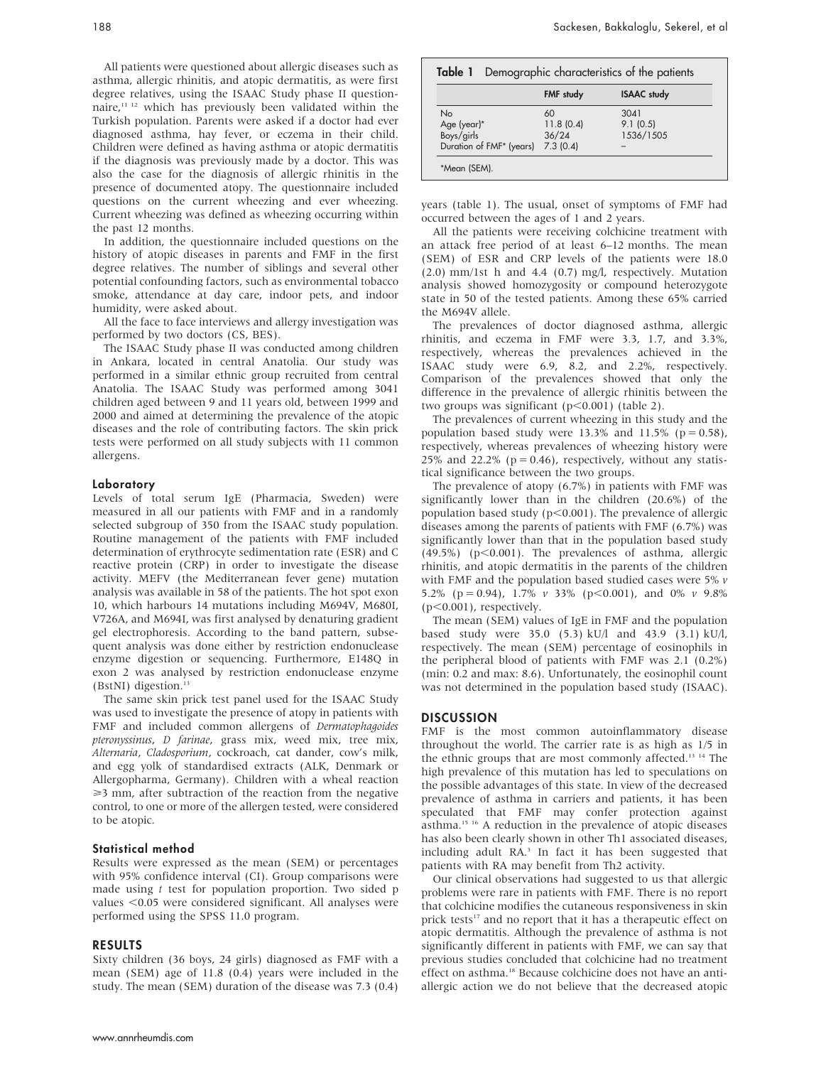All patients were questioned about allergic diseases such as asthma, allergic rhinitis, and atopic dermatitis, as were first degree relatives, using the ISAAC Study phase II questionnaire,11 12 which has previously been validated within the Turkish population. Parents were asked if a doctor had ever diagnosed asthma, hay fever, or eczema in their child. Children were defined as having asthma or atopic dermatitis if the diagnosis was previously made by a doctor. This was also the case for the diagnosis of allergic rhinitis in the presence of documented atopy. The questionnaire included questions on the current wheezing and ever wheezing. Current wheezing was defined as wheezing occurring within the past 12 months.

In addition, the questionnaire included questions on the history of atopic diseases in parents and FMF in the first degree relatives. The number of siblings and several other potential confounding factors, such as environmental tobacco smoke, attendance at day care, indoor pets, and indoor humidity, were asked about.

All the face to face interviews and allergy investigation was performed by two doctors (CS, BES).

The ISAAC Study phase II was conducted among children in Ankara, located in central Anatolia. Our study was performed in a similar ethnic group recruited from central Anatolia. The ISAAC Study was performed among 3041 children aged between 9 and 11 years old, between 1999 and 2000 and aimed at determining the prevalence of the atopic diseases and the role of contributing factors. The skin prick tests were performed on all study subjects with 11 common allergens.

#### Laboratory

Levels of total serum IgE (Pharmacia, Sweden) were measured in all our patients with FMF and in a randomly selected subgroup of 350 from the ISAAC study population. Routine management of the patients with FMF included determination of erythrocyte sedimentation rate (ESR) and C reactive protein (CRP) in order to investigate the disease activity. MEFV (the Mediterranean fever gene) mutation analysis was available in 58 of the patients. The hot spot exon 10, which harbours 14 mutations including M694V, M680I, V726A, and M694I, was first analysed by denaturing gradient gel electrophoresis. According to the band pattern, subsequent analysis was done either by restriction endonuclease enzyme digestion or sequencing. Furthermore, E148Q in exon 2 was analysed by restriction endonuclease enzyme (BstNI) digestion.13

The same skin prick test panel used for the ISAAC Study was used to investigate the presence of atopy in patients with FMF and included common allergens of Dermatophagoides pteronyssinus, D farinae, grass mix, weed mix, tree mix, Alternaria, Cladosporium, cockroach, cat dander, cow's milk, and egg yolk of standardised extracts (ALK, Denmark or Allergopharma, Germany). Children with a wheal reaction  $\geq$ 3 mm, after subtraction of the reaction from the negative control, to one or more of the allergen tested, were considered to be atopic.

#### Statistical method

Results were expressed as the mean (SEM) or percentages with 95% confidence interval (CI). Group comparisons were made using  $t$  test for population proportion. Two sided  $p$ values <0.05 were considered significant. All analyses were performed using the SPSS 11.0 program.

#### RESULTS

Sixty children (36 boys, 24 girls) diagnosed as FMF with a mean (SEM) age of 11.8 (0.4) years were included in the study. The mean (SEM) duration of the disease was 7.3 (0.4)

|                                    | <b>FMF</b> study | <b>ISAAC</b> study |
|------------------------------------|------------------|--------------------|
| <b>No</b>                          | 60               | 3041               |
|                                    | 11.8(0.4)        | 9.1(0.5)           |
| Age (year)*<br>Boys/girls          | 36/24            | 1536/1505          |
| Duration of FMF* (years) 7.3 (0.4) |                  |                    |

years (table 1). The usual, onset of symptoms of FMF had occurred between the ages of 1 and 2 years.

All the patients were receiving colchicine treatment with an attack free period of at least 6–12 months. The mean (SEM) of ESR and CRP levels of the patients were 18.0 (2.0) mm/1st h and 4.4 (0.7) mg/l, respectively. Mutation analysis showed homozygosity or compound heterozygote state in 50 of the tested patients. Among these 65% carried the M694V allele.

The prevalences of doctor diagnosed asthma, allergic rhinitis, and eczema in FMF were 3.3, 1.7, and 3.3%, respectively, whereas the prevalences achieved in the ISAAC study were 6.9, 8.2, and 2.2%, respectively. Comparison of the prevalences showed that only the difference in the prevalence of allergic rhinitis between the two groups was significant ( $p<0.001$ ) (table 2).

The prevalences of current wheezing in this study and the population based study were 13.3% and 11.5% ( $p = 0.58$ ), respectively, whereas prevalences of wheezing history were 25% and 22.2% ( $p = 0.46$ ), respectively, without any statistical significance between the two groups.

The prevalence of atopy (6.7%) in patients with FMF was significantly lower than in the children (20.6%) of the population based study ( $p$ <0.001). The prevalence of allergic diseases among the parents of patients with FMF (6.7%) was significantly lower than that in the population based study  $(49.5\%)$  (p $< 0.001$ ). The prevalences of asthma, allergic rhinitis, and atopic dermatitis in the parents of the children with FMF and the population based studied cases were 5%  $\nu$ 5.2% (p = 0.94), 1.7% v 33% (p < 0.001), and 0% v 9.8%  $(p<0.001)$ , respectively.

The mean (SEM) values of IgE in FMF and the population based study were 35.0 (5.3) kU/l and 43.9 (3.1) kU/l, respectively. The mean (SEM) percentage of eosinophils in the peripheral blood of patients with FMF was 2.1 (0.2%) (min: 0.2 and max: 8.6). Unfortunately, the eosinophil count was not determined in the population based study (ISAAC).

## **DISCUSSION**

FMF is the most common autoinflammatory disease throughout the world. The carrier rate is as high as 1/5 in the ethnic groups that are most commonly affected.<sup>13 14</sup> The high prevalence of this mutation has led to speculations on the possible advantages of this state. In view of the decreased prevalence of asthma in carriers and patients, it has been speculated that FMF may confer protection against asthma.15 16 A reduction in the prevalence of atopic diseases has also been clearly shown in other Th1 associated diseases, including adult RA.<sup>3</sup> In fact it has been suggested that patients with RA may benefit from Th2 activity.

Our clinical observations had suggested to us that allergic problems were rare in patients with FMF. There is no report that colchicine modifies the cutaneous responsiveness in skin prick tests<sup>17</sup> and no report that it has a therapeutic effect on atopic dermatitis. Although the prevalence of asthma is not significantly different in patients with FMF, we can say that previous studies concluded that colchicine had no treatment effect on asthma.<sup>18</sup> Because colchicine does not have an antiallergic action we do not believe that the decreased atopic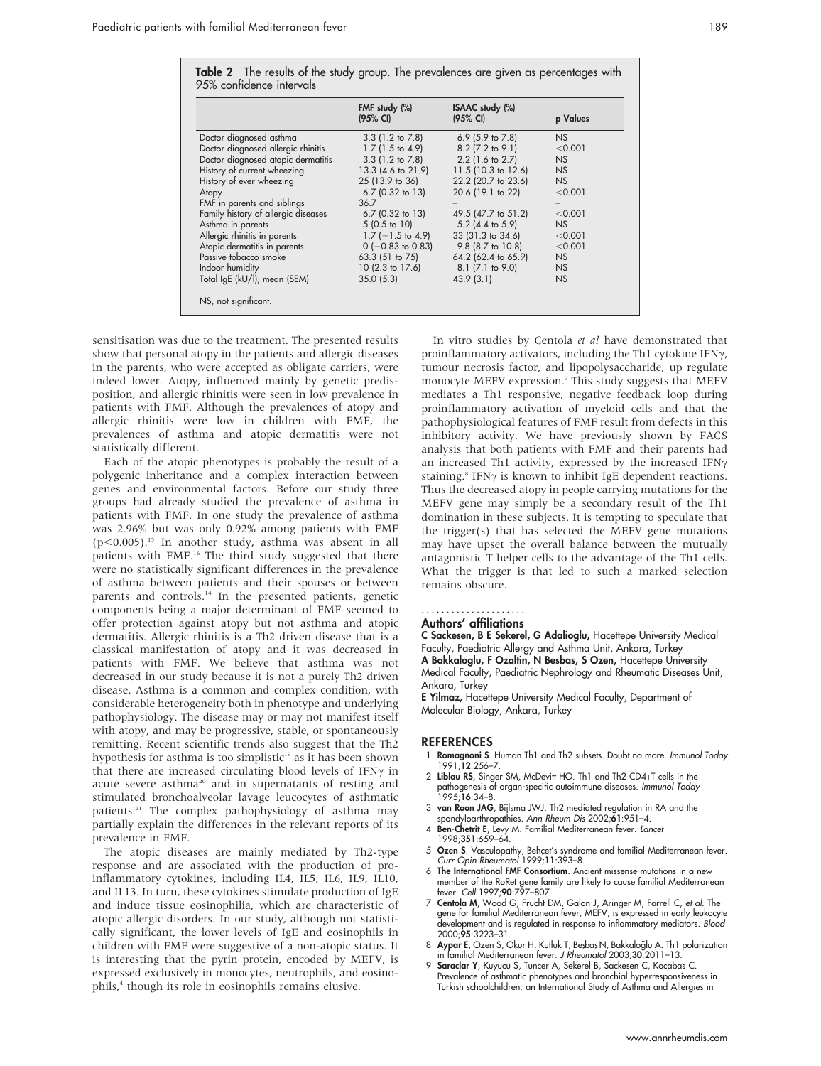|                                     | FMF study (%)<br>$(95% \text{ CI})$ | ISAAC study (%)<br>(95% CI) | p Values  |
|-------------------------------------|-------------------------------------|-----------------------------|-----------|
| Doctor diagnosed asthma             | $3.3$ (1.2 to 7.8)                  | 6.9 $(5.9 \text{ to } 7.8)$ | NS        |
| Doctor diagnosed allergic rhinitis  | $1.7(1.5 \text{ to } 4.9)$          | $8.2$ (7.2 to 9.1)          | < 0.001   |
| Doctor diagnosed atopic dermatitis  | $3.3(1.2 \text{ to } 7.8)$          | $2.2$ (1.6 to 2.7)          | <b>NS</b> |
| History of current wheezing         | 13.3 (4.6 to 21.9)                  | 11.5 (10.3 to 12.6)         | NS        |
| History of ever wheezing            | 25 (13.9 to 36)                     | 22.2 (20.7 to 23.6)         | NS        |
| Atopy                               | $6.7$ (0.32 to 13)                  | 20.6 (19.1 to 22)           | < 0.001   |
| FMF in parents and siblings         | 36.7                                |                             |           |
| Family history of allergic diseases | $6.7$ (0.32 to 13)                  | 49.5 (47.7 to 51.2)         | < 0.001   |
| Asthma in parents                   | $5(0.5 \text{ to } 10)$             | $5.2$ (4.4 to $5.9$ )       | NS        |
| Allergic rhinitis in parents        | $1.7$ ( $-1.5$ to 4.9)              | 33 (31.3 to 34.6)           | < 0.001   |
| Atopic dermatitis in parents        | $0$ (-0.83 to 0.83)                 | 9.8 (8.7 to 10.8)           | < 0.001   |
| Passive tobacco smoke               | $63.3$ (51 to 75)                   | 64.2 (62.4 to 65.9)         | <b>NS</b> |
| Indoor humidity                     | $10(2.3 \text{ to } 17.6)$          | 8.1 (7.1 to 9.0)            | NS        |
| Total IgE (kU/I), mean (SEM)        | 35.0(5.3)                           | 43.9(3.1)                   | <b>NS</b> |

sensitisation was due to the treatment. The presented results show that personal atopy in the patients and allergic diseases in the parents, who were accepted as obligate carriers, were indeed lower. Atopy, influenced mainly by genetic predisposition, and allergic rhinitis were seen in low prevalence in patients with FMF. Although the prevalences of atopy and allergic rhinitis were low in children with FMF, the prevalences of asthma and atopic dermatitis were not statistically different.

Each of the atopic phenotypes is probably the result of a polygenic inheritance and a complex interaction between genes and environmental factors. Before our study three groups had already studied the prevalence of asthma in patients with FMF. In one study the prevalence of asthma was 2.96% but was only 0.92% among patients with FMF (p $<0.005$ ).<sup>15</sup> In another study, asthma was absent in all patients with FMF.<sup>16</sup> The third study suggested that there were no statistically significant differences in the prevalence of asthma between patients and their spouses or between parents and controls.<sup>14</sup> In the presented patients, genetic components being a major determinant of FMF seemed to offer protection against atopy but not asthma and atopic dermatitis. Allergic rhinitis is a Th2 driven disease that is a classical manifestation of atopy and it was decreased in patients with FMF. We believe that asthma was not decreased in our study because it is not a purely Th2 driven disease. Asthma is a common and complex condition, with considerable heterogeneity both in phenotype and underlying pathophysiology. The disease may or may not manifest itself with atopy, and may be progressive, stable, or spontaneously remitting. Recent scientific trends also suggest that the Th2 hypothesis for asthma is too simplistic<sup>19</sup> as it has been shown that there are increased circulating blood levels of IFN $\gamma$  in acute severe asthma<sup>20</sup> and in supernatants of resting and stimulated bronchoalveolar lavage leucocytes of asthmatic patients.21 The complex pathophysiology of asthma may partially explain the differences in the relevant reports of its prevalence in FMF.

The atopic diseases are mainly mediated by Th2-type response and are associated with the production of proinflammatory cytokines, including IL4, IL5, IL6, IL9, IL10, and IL13. In turn, these cytokines stimulate production of IgE and induce tissue eosinophilia, which are characteristic of atopic allergic disorders. In our study, although not statistically significant, the lower levels of IgE and eosinophils in children with FMF were suggestive of a non-atopic status. It is interesting that the pyrin protein, encoded by MEFV, is expressed exclusively in monocytes, neutrophils, and eosinophils,<sup>4</sup> though its role in eosinophils remains elusive.

In vitro studies by Centola et al have demonstrated that proinflammatory activators, including the Th1 cytokine IFN $\gamma$ , tumour necrosis factor, and lipopolysaccharide, up regulate monocyte MEFV expression.7 This study suggests that MEFV mediates a Th1 responsive, negative feedback loop during proinflammatory activation of myeloid cells and that the pathophysiological features of FMF result from defects in this inhibitory activity. We have previously shown by FACS analysis that both patients with FMF and their parents had an increased Th1 activity, expressed by the increased IFN $\gamma$ staining.<sup>8</sup> IFN $\gamma$  is known to inhibit IgE dependent reactions. Thus the decreased atopy in people carrying mutations for the MEFV gene may simply be a secondary result of the Th1 domination in these subjects. It is tempting to speculate that the trigger(s) that has selected the MEFV gene mutations may have upset the overall balance between the mutually antagonistic T helper cells to the advantage of the Th1 cells. What the trigger is that led to such a marked selection remains obscure.

## .....................

### Authors' affiliations

C Sackesen, B E Sekerel, G Adalioglu, Hacettepe University Medical Faculty, Paediatric Allergy and Asthma Unit, Ankara, Turkey A Bakkaloglu, F Ozaltin, N Besbas, S Ozen, Hacettepe University Medical Faculty, Paediatric Nephrology and Rheumatic Diseases Unit, Ankara, Turkey

E Yilmaz, Hacettepe University Medical Faculty, Department of Molecular Biology, Ankara, Turkey

#### **REFERENCES**

- 1 Romagnoni S. Human Th1 and Th2 subsets. Doubt no more. Immunol Today 1991;12:256–7.
- 2 Liblau RS, Singer SM, McDevitt HO. Th1 and Th2 CD4+T cells in the pathogenesis of organ-specific autoimmune diseases. Immunol Today 1995;16:34–8.
- 3 van Roon JAG, Bijlsma JWJ. Th2 mediated regulation in RA and the spondyloarthropathies. Ann Rheum Dis 2002;61:951–4.
- 4 Ben-Chetrit E, Levy M. Familial Mediterranean fever. Lancet 1998;351:659–64.
- 5 Ozen S. Vasculopathy, Behçet's syndrome and familial Mediterranean fever.<br>Curr Opin Rheumatol 1999;11:393–8.
- 6 The International FMF Consortium. Ancient missense mutations in a new member of the RoRet gene family are likely to cause familial Mediterranean fever. Cell 1997;90:797–807.
- 7 Centola M, Wood G, Frucht DM, Galon J, Aringer M, Farrell C, et al. The gene for familial Mediterranean fever, MEFV, is expressed in early leukocyte development and is regulated in response to inflammatory mediators. Blood 2000;95:3223–31.
- 8 Aypar E, Ozen S, Okur H, Kutluk T, Besbas N, Bakkaloğlu A. Th1 polarization in familial Mediterranean fever. J Rheumatol 2003;30:2011–13.
- 9 Saraclar Y, Kuyucu S, Tuncer A, Sekerel B, Sackesen C, Kocabas C. Prevalence of asthmatic phenotypes and bronchial hyperresponsiveness in Turkish schoolchildren: an International Study of Asthma and Allergies in